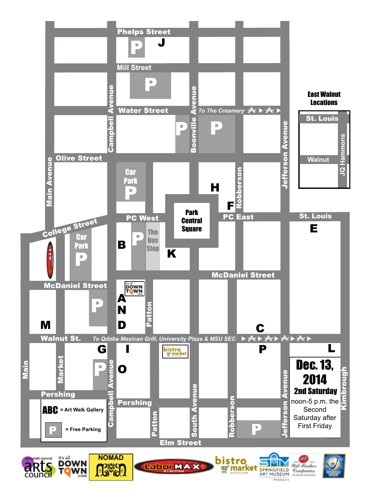